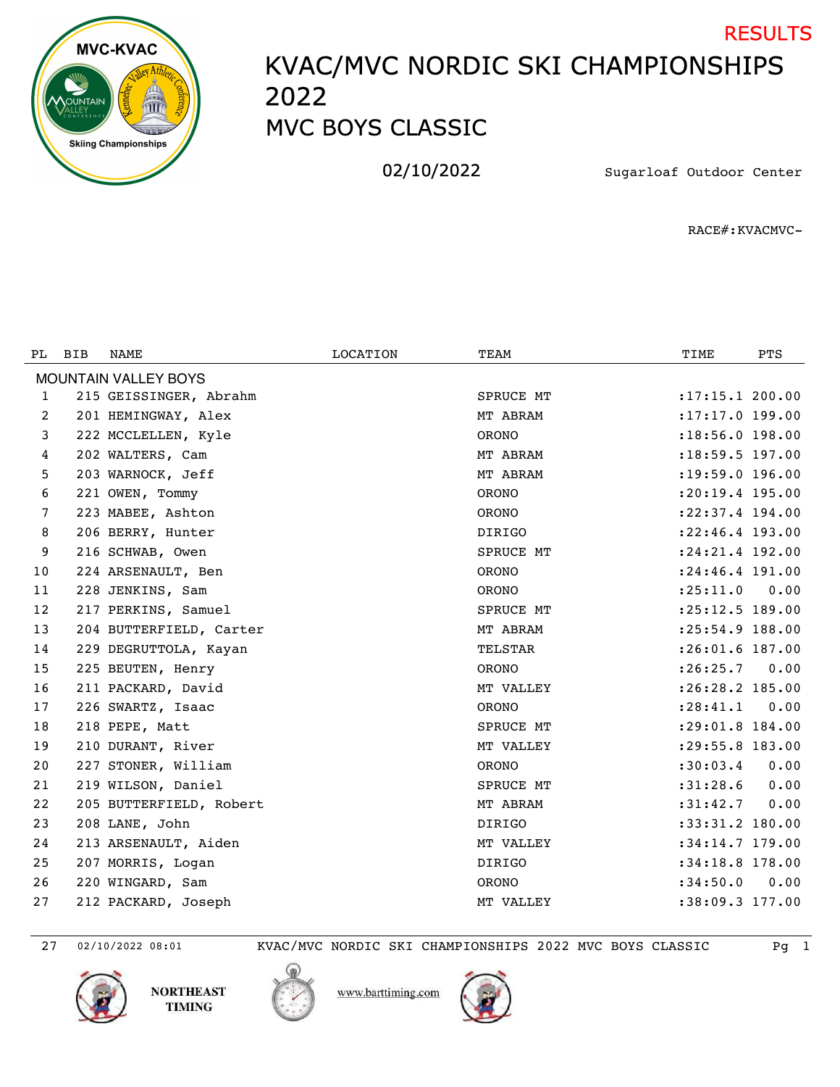

## KVAC/MVC NORDIC SKI CHAMPIONSHIPS MVC BOYS CLASSIC RESULTS

02/10/2022 Sugarloaf Outdoor Center

RACE#:KVACMVC-

| PL. | <b>BIB</b> | NAME                        | <b>LOCATION</b> | TEAM             | TIME                | PTS  |
|-----|------------|-----------------------------|-----------------|------------------|---------------------|------|
|     |            | <b>MOUNTAIN VALLEY BOYS</b> |                 |                  |                     |      |
| 1   |            | 215 GEISSINGER, Abrahm      |                 | SPRUCE MT        | : 17: 15.1 200.00   |      |
| 2   |            | 201 HEMINGWAY, Alex         |                 | MT ABRAM         | :17:17.0 199.00     |      |
| 3   |            | 222 MCCLELLEN, Kyle         |                 | <b>ORONO</b>     | $: 18:56.0$ 198.00  |      |
| 4   |            | 202 WALTERS, Cam            |                 | MT ABRAM         | $: 18:59.5$ 197.00  |      |
| 5   |            | 203 WARNOCK, Jeff           |                 | MT ABRAM         | :19:59.0 196.00     |      |
| 6   |            | 221 OWEN, Tommy             |                 | <b>ORONO</b>     | $: 20:19.4$ 195.00  |      |
| 7   |            | 223 MABEE, Ashton           |                 | <b>ORONO</b>     | $: 22: 37.4$ 194.00 |      |
| 8   |            | 206 BERRY, Hunter           |                 | <b>DIRIGO</b>    | $: 22: 46.4$ 193.00 |      |
| 9   |            | 216 SCHWAB, Owen            |                 | SPRUCE MT        | :24:21.4 192.00     |      |
| 10  |            | 224 ARSENAULT, Ben          |                 | <b>ORONO</b>     | :24:46.4 191.00     |      |
| 11  |            | 228 JENKINS, Sam            |                 | <b>ORONO</b>     | : 25: 11.0          | 0.00 |
| 12  |            | 217 PERKINS, Samuel         |                 | <b>SPRUCE MT</b> | :25:12.5 189.00     |      |
| 13  |            | 204 BUTTERFIELD, Carter     |                 | MT ABRAM         | :25:54.9 188.00     |      |
| 14  |            | 229 DEGRUTTOLA, Kayan       |                 | <b>TELSTAR</b>   | $: 26:01.6$ 187.00  |      |
| 15  |            | 225 BEUTEN, Henry           |                 | <b>ORONO</b>     | : 26:25.7           | 0.00 |
| 16  |            | 211 PACKARD, David          |                 | MT VALLEY        | :26:28.2 185.00     |      |
| 17  |            | 226 SWARTZ, Isaac           |                 | <b>ORONO</b>     | : 28: 41.1          | 0.00 |
| 18  |            | 218 PEPE, Matt              |                 | SPRUCE MT        | :29:01.8 184.00     |      |
| 19  |            | 210 DURANT, River           |                 | MT VALLEY        | :29:55.8 183.00     |      |
| 20  |            | 227 STONER, William         |                 | <b>ORONO</b>     | :30:03.4            | 0.00 |
| 21  |            | 219 WILSON, Daniel          |                 | SPRUCE MT        | :31:28.6            | 0.00 |
| 22  |            | 205 BUTTERFIELD, Robert     |                 | MT ABRAM         | :31:42.7            | 0.00 |
| 23  |            | 208 LANE, John              |                 | <b>DIRIGO</b>    | :33:31.2 180.00     |      |
| 24  |            | 213 ARSENAULT, Aiden        |                 | MT VALLEY        | $:34:14.7$ 179.00   |      |
| 25  |            | 207 MORRIS, Logan           |                 | <b>DIRIGO</b>    | :34:18.8 178.00     |      |
| 26  |            | 220 WINGARD, Sam            |                 | <b>ORONO</b>     | :34:50.0            | 0.00 |
| 27  |            | 212 PACKARD, Joseph         |                 | MT VALLEY        | :38:09.3 177.00     |      |

02/10/2022 08:01 KVAC/MVC NORDIC SKI CHAMPIONSHIPS 2022 MVC BOYS CLASSIC Pg 1





www.barttiming.com

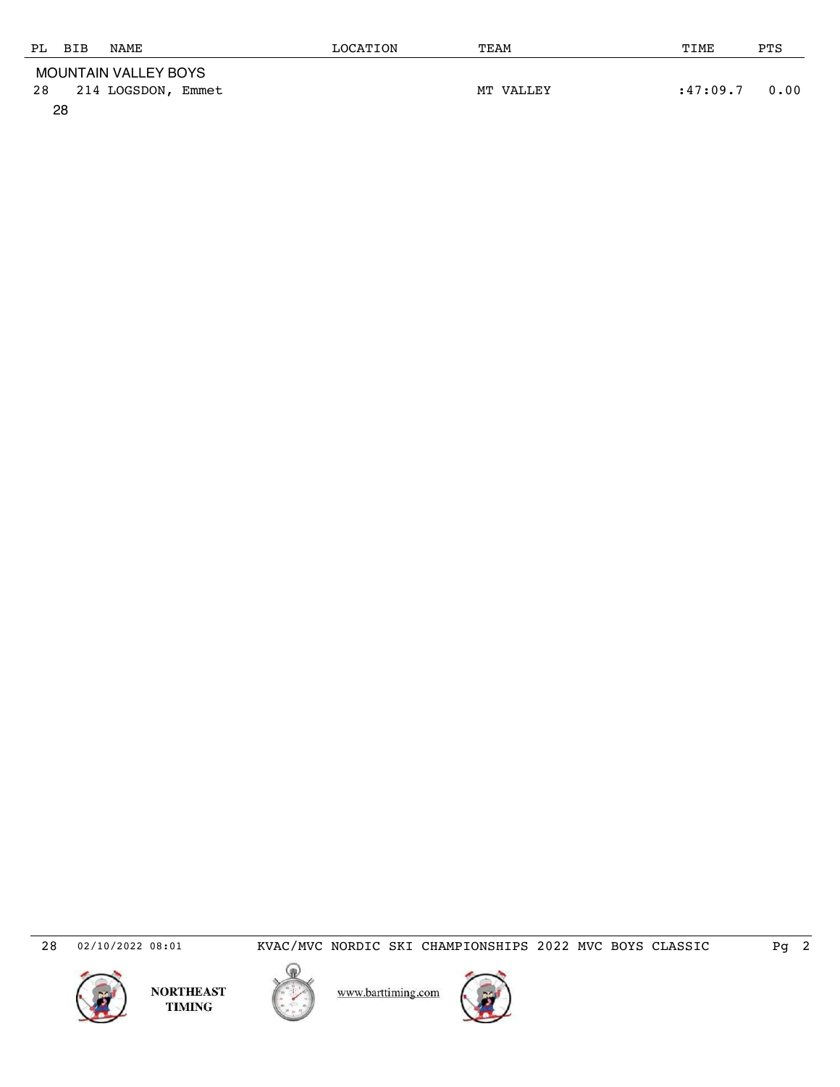| PL BIB               |  | NAME               | LOCATION | TEAM      | TIME     | PTS  |
|----------------------|--|--------------------|----------|-----------|----------|------|
| MOUNTAIN VALLEY BOYS |  |                    |          |           |          |      |
| 28                   |  | 214 LOGSDON, Emmet |          | MT VALLEY | :47:09.7 | 0.00 |

28



NORTHEAST<br>TIMING



www.barttiming.com